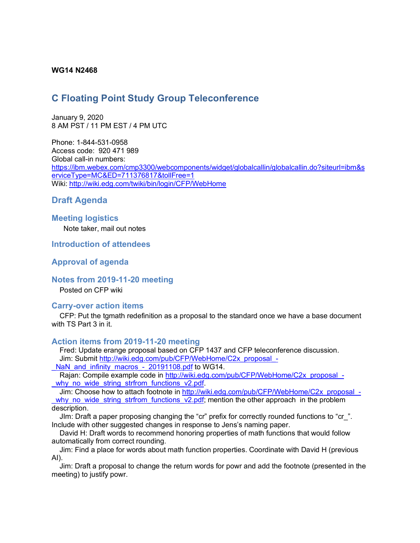#### **WG14 N2468**

## **C Floating Point Study Group Teleconference**

January 9, 2020 8 AM PST / 11 PM EST / 4 PM UTC

Phone: 1-844-531-0958 Access code: 920 471 989 Global call-in numbers: https://ibm.webex.com/cmp3300/webcomponents/widget/globalcallin/globalcallin.do?siteurl=ibm&s erviceType=MC&ED=711376817&tollFree=1 Wiki: http://wiki.edg.com/twiki/bin/login/CFP/WebHome

### **Draft Agenda**

# **Meeting logistics**

Note taker, mail out notes

**Introduction of attendees**

**Approval of agenda**

**Notes from 2019-11-20 meeting**

Posted on CFP wiki

#### **Carry-over action items**

CFP: Put the tgmath redefinition as a proposal to the standard once we have a base document with TS Part 3 in it.

#### **Action items from 2019-11-20 meeting**

Fred: Update erange proposal based on CFP 1437 and CFP teleconference discussion. Jim: Submit http://wiki.edg.com/pub/CFP/WebHome/C2x\_proposal\_-

NaN and infinity macros - 20191108.pdf to WG14.

Rajan: Compile example code in http://wiki.edg.com/pub/CFP/WebHome/C2x\_proposal\_why no wide string strfrom functions v2.pdf.

Jim: Choose how to attach footnote in http://wiki.edg.com/pub/CFP/WebHome/C2x\_proposal\_why no wide string strfrom functions  $v2.pdf$ ; mention the other approach in the problem description.

JIm: Draft a paper proposing changing the "cr" prefix for correctly rounded functions to "cr\_". Include with other suggested changes in response to Jens's naming paper.

David H: Draft words to recommend honoring properties of math functions that would follow automatically from correct rounding.

Jim: Find a place for words about math function properties. Coordinate with David H (previous AI).

Jim: Draft a proposal to change the return words for powr and add the footnote (presented in the meeting) to justify powr.